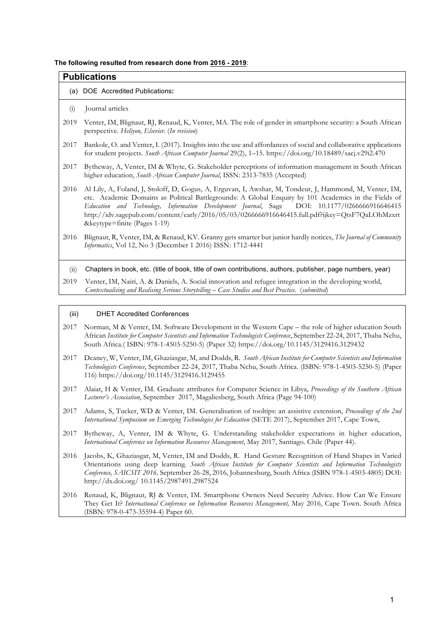### **The following resulted from research done from 2016 - 2019**:

| <b>Publications</b> |                                                                                                                                                                                                                                                                                                                                                                                                                                                     |  |  |  |  |  |  |
|---------------------|-----------------------------------------------------------------------------------------------------------------------------------------------------------------------------------------------------------------------------------------------------------------------------------------------------------------------------------------------------------------------------------------------------------------------------------------------------|--|--|--|--|--|--|
|                     | (a) DOE Accredited Publications:                                                                                                                                                                                                                                                                                                                                                                                                                    |  |  |  |  |  |  |
| (i)                 | Journal articles                                                                                                                                                                                                                                                                                                                                                                                                                                    |  |  |  |  |  |  |
| 2019                | Venter, IM, Blignaut, RJ, Renaud, K, Venter, MA. The role of gender in smartphone security: a South African<br>perspective. Heliyon, Elsevier. (In revision)                                                                                                                                                                                                                                                                                        |  |  |  |  |  |  |
| 2017                | Bankole, O. and Venter, I. (2017). Insights into the use and affordances of social and collaborative applications<br>for student projects. South African Computer Journal 29(2), 1-15. https://doi.org/10.18489/sacj.v29i2.470                                                                                                                                                                                                                      |  |  |  |  |  |  |
| 2017                | Bytheway, A, Venter, IM & Whyte, G. Stakeholder perceptions of information management in South African<br>higher education, South African Computer Journal, ISSN: 2313-7835 (Accepted)                                                                                                                                                                                                                                                              |  |  |  |  |  |  |
| 2016                | Al Lily, A, Foland, J, Stoloff, D, Gogus, A, Erguvan, I, Awshar, M, Tondeur, J, Hammond, M, Venter, IM,<br>etc. Academic Domains as Political Battlegrounds: A Global Enquiry by 101 Academics in the Fields of<br>Education and Technology, Information Development Journal, Sage DOI: 10.1177/0266666916646415<br>http://idv.sagepub.com/content/early/2016/05/03/0266666916646415.full.pdf?ijkey=QtsF7QaLOhMzxrt<br>&keytype=finite (Pages 1-19) |  |  |  |  |  |  |
| 2016                | Blignaut, R, Venter, IM, & Renaud, KV. Granny gets smarter but junior hardly notices, The Journal of Community<br>Informatics, Vol 12, No 3 (December 1 2016) ISSN: 1712-4441                                                                                                                                                                                                                                                                       |  |  |  |  |  |  |
| (ii)                | Chapters in book, etc. (title of book, title of own contributions, authors, publisher, page numbers, year)                                                                                                                                                                                                                                                                                                                                          |  |  |  |  |  |  |
| 2019                | Venter, IM, Nairi, A. & Daniels, A. Social innovation and refugee integration in the developing world,<br>Contextualising and Realising Serious Storytelling - Case Studies and Best Practice. (submitted)                                                                                                                                                                                                                                          |  |  |  |  |  |  |
| (iii)               | <b>DHET Accredited Conferences</b>                                                                                                                                                                                                                                                                                                                                                                                                                  |  |  |  |  |  |  |

- 2017 Norman, M & Venter, IM. Software Development in the Western Cape the role of higher education South African *Institute for Computer Scientists and Information Technologists Conference*, September 22-24, 2017, Thaba Nchu, South Africa.( ISBN: 978-1-4503-5250-5) (Paper 32) https://doi.org/10.1145/3129416.3129432
- 2017 Deaney, W, Venter, IM, Ghaziasgar, M, and Dodds, R. *South African Institute for Computer Scientists and Information Technologists Conference*, September 22-24, 2017, Thaba Nchu, South Africa. (ISBN: 978-1-4503-5250-5) (Paper 116) https://doi.org/10.1145/3129416.3129455
- 2017 Alaiat, H & Venter, IM. Graduate attributes for Computer Science in Libya, *Proceedings of the Southern African Lecturer's Association*, September 2017, Magaliesberg, South Africa (Page 94-100)
- 2017 Adams, S, Tucker, WD & Venter, IM. Generalisation of tooltips: an assistive extension, *Proceedings of the 2nd International Symposium on Emerging Technologies for Education* (SETE 2017), September 2017, Cape Town,
- 2017 Bytheway, A, Venter, IM & Whyte, G. Understanding stakeholder expectations in higher education, *International Conference on Information Resources Management*, May 2017, Santiago. Chile (Paper 44).
- 2016 Jacobs, K, Ghaziasgar, M, Venter, IM and Dodds, R. Hand Gesture Recognition of Hand Shapes in Varied Orientations using deep learning*. South African Institute for Computer Scientists and Information Technologists Conference, SAICSIT 2016,* September 26-28, 2016, Johannesburg, South Africa (ISBN 978-1-4503-4805) DOI: http://dx.doi.org/ 10.1145/2987491.2987524
- 2016 Renaud, K, Blignaut, RJ & Venter, IM. Smartphone Owners Need Security Advice. How Can We Ensure They Get It? *International Conference on Information Resources Management,* May 2016, Cape Town. South Africa (ISBN: 978-0-473-35594-4) Paper 60.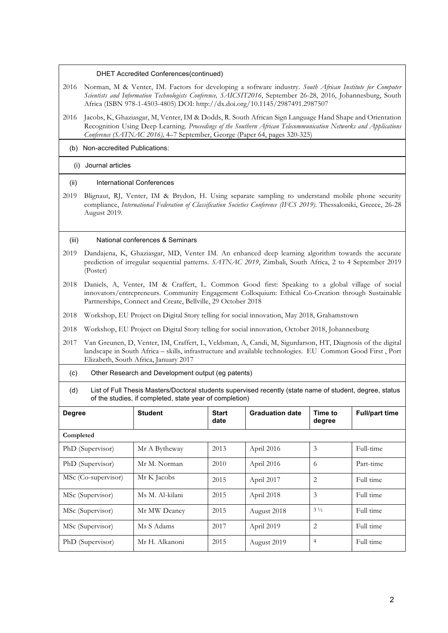## DHET Accredited Conferences(continued)

- 2016 Norman, M & Venter, IM. Factors for developing a software industry. *South African Institute for Computer Scientists and Information Technologists Conference, SAICSIT2016*, September 26-28, 2016, Johannesburg, South Africa (ISBN 978-1-4503-4805) DOI: http://dx.doi.org/10.1145/2987491.2987507
- 2016 Jacobs, K, Ghaziasgar, M, Venter, IM & Dodds, R. South African Sign Language Hand Shape and Orientation Recognition Using Deep Learning*. Proceedings of the Southern African Telecommunication Networks and Applications Conference (SATNAC 2016),* 4–7 September, George (Paper 64, pages 320-325)
	- (b) Non-accredited Publications:

# (i) Journal articles

## (ii) International Conferences

2019 Blignaut, RJ, Venter, IM & Brydon, H. Using separate sampling to understand mobile phone security compliance, *International Federation of Classification Societies Conference (IFCS 2019)*. Thessaloniki, Greece, 26-28 August 2019.

# (iii) National conferences & Seminars

- 2019 Dandajena, K, Ghaziasgar, MD, Venter IM. An enhanced deep learning algorithm towards the accurate prediction of irregular sequential patterns. *SATNAC 2019*, Zimbali, South Africa, 2 to 4 September 2019 (Poster)
- 2018 Daniels, A, Venter, IM & Craffert, L. Common Good first: Speaking to a global village of social innovators/entrepreneurs. Community Engagement Colloquium: Ethical Co-Creation through Sustainable Partnerships, Connect and Create, Bellville, 29 October 2018
- 2018 Workshop, EU Project on Digital Story telling for social innovation, May 2018, Grahamstown
- 2018 Workshop, EU Project on Digital Story telling for social innovation, October 2018, Johannesburg
- 2017 Van Greunen, D, Venter, IM, Craffert, L, Veldsman, A, Candi, M, Sigurdarson, HT, Diagnosis of the digital landscape in South Africa – skills, infrastructure and available technologies. EU Common Good First , Port Elizabeth, South Africa, January 2017
	- (c) Other Research and Development output (eg patents)
	- (d) List of Full Thesis Masters/Doctoral students supervised recently (state name of student, degree, status of the studies, if completed, state year of completion)

| <b>Degree</b>       | <b>Student</b>  | <b>Start</b><br>date | <b>Graduation date</b> | Time to<br>degree | <b>Full/part time</b> |  |  |  |  |  |
|---------------------|-----------------|----------------------|------------------------|-------------------|-----------------------|--|--|--|--|--|
| Completed           |                 |                      |                        |                   |                       |  |  |  |  |  |
| PhD (Supervisor)    | Mr A Bytheway   | 2013                 | April 2016             | 3                 | Full-time             |  |  |  |  |  |
| PhD (Supervisor)    | Mr M. Norman    | 2010                 | April 2016             | 6                 | Part-time             |  |  |  |  |  |
| MSc (Co-supervisor) | Mr K Jacobs     | 2015                 | April 2017             | $\overline{2}$    | Full time             |  |  |  |  |  |
| MSc (Supervisor)    | Ms M. Al-kilani | 2015                 | April 2018             | 3                 | Full time             |  |  |  |  |  |
| MSc (Supervisor)    | Mr MW Deaney    | 2015                 | August 2018            | $3\frac{1}{2}$    | Full time             |  |  |  |  |  |
| MSc (Supervisor)    | Ms S Adams      | 2017                 | April 2019             | $\overline{2}$    | Full time             |  |  |  |  |  |
| PhD (Supervisor)    | Mr H. Alkanoni  | 2015                 | August 2019            | 4                 | Full time             |  |  |  |  |  |